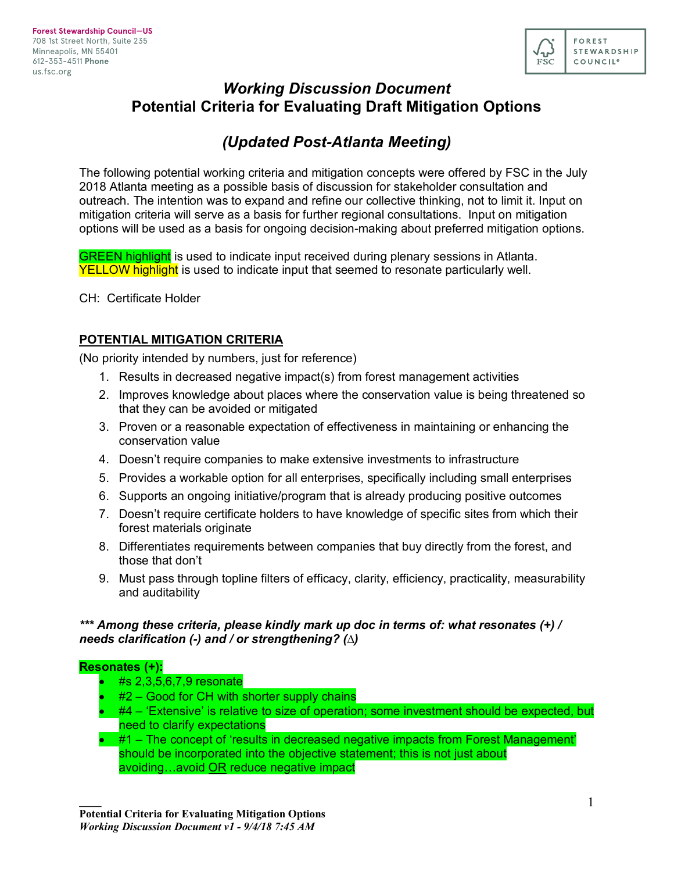

# *Working Discussion Document* **Potential Criteria for Evaluating Draft Mitigation Options**

# *(Updated Post-Atlanta Meeting)*

The following potential working criteria and mitigation concepts were offered by FSC in the July 2018 Atlanta meeting as a possible basis of discussion for stakeholder consultation and outreach. The intention was to expand and refine our collective thinking, not to limit it. Input on mitigation criteria will serve as a basis for further regional consultations. Input on mitigation options will be used as a basis for ongoing decision-making about preferred mitigation options.

**GREEN highlight** is used to indicate input received during plenary sessions in Atlanta. YELLOW highlight is used to indicate input that seemed to resonate particularly well.

CH: Certificate Holder

## **POTENTIAL MITIGATION CRITERIA**

(No priority intended by numbers, just for reference)

- 1. Results in decreased negative impact(s) from forest management activities
- 2. Improves knowledge about places where the conservation value is being threatened so that they can be avoided or mitigated
- 3. Proven or a reasonable expectation of effectiveness in maintaining or enhancing the conservation value
- 4. Doesn't require companies to make extensive investments to infrastructure
- 5. Provides a workable option for all enterprises, specifically including small enterprises
- 6. Supports an ongoing initiative/program that is already producing positive outcomes
- 7. Doesn't require certificate holders to have knowledge of specific sites from which their forest materials originate
- 8. Differentiates requirements between companies that buy directly from the forest, and those that don't
- 9. Must pass through topline filters of efficacy, clarity, efficiency, practicality, measurability and auditability

### *\*\*\* Among these criteria, please kindly mark up doc in terms of: what resonates (+) / needs clarification (-) and / or strengthening? (∆)*

#### **Resonates (+):**

- #s 2,3,5,6,7,9 resonate
- $#2 Good$  for CH with shorter supply chains
- #4 'Extensive' is relative to size of operation; some investment should be expected, but need to clarify expectations
- #1 The concept of 'results in decreased negative impacts from Forest Management' should be incorporated into the objective statement; this is not just about avoiding…avoid OR reduce negative impact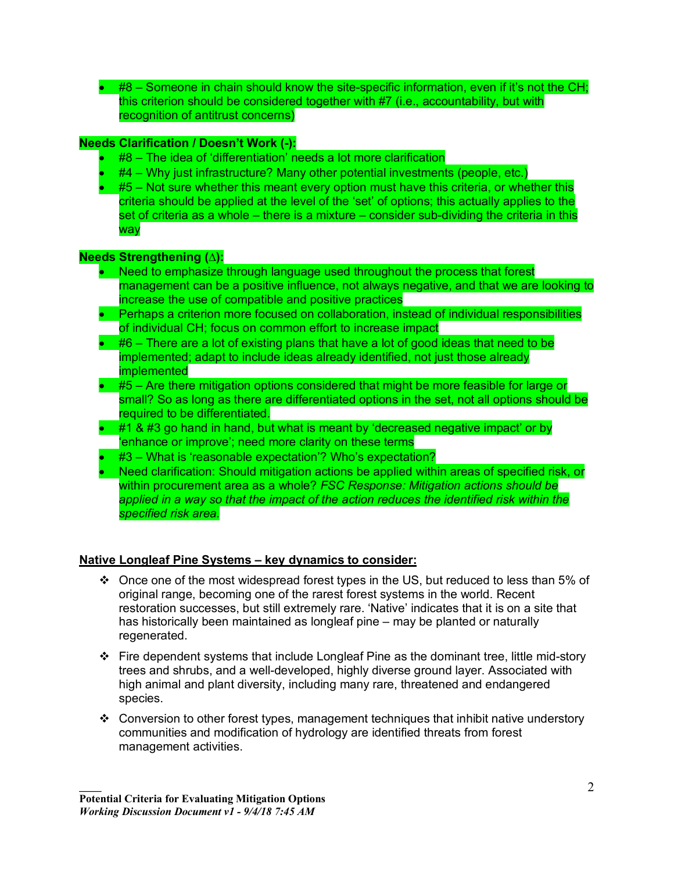• #8 – Someone in chain should know the site-specific information, even if it's not the CH; this criterion should be considered together with #7 (i.e., accountability, but with recognition of antitrust concerns)

# **Needs Clarification / Doesn't Work (-):**

- #8 The idea of 'differentiation' needs a lot more clarification
- #4 Why just infrastructure? Many other potential investments (people, etc.)
- #5 Not sure whether this meant every option must have this criteria, or whether this criteria should be applied at the level of the 'set' of options; this actually applies to the set of criteria as a whole – there is a mixture – consider sub-dividing the criteria in this way

#### **Needs Strengthening (∆):**

- Need to emphasize through language used throughout the process that forest management can be a positive influence, not always negative, and that we are looking to increase the use of compatible and positive practices
- Perhaps a criterion more focused on collaboration, instead of individual responsibilities of individual CH; focus on common effort to increase impact
- $\bullet$  #6 There are a lot of existing plans that have a lot of good ideas that need to be implemented; adapt to include ideas already identified, not just those already implemented
- $\bullet$  #5 Are there mitigation options considered that might be more feasible for large or small? So as long as there are differentiated options in the set, not all options should be required to be differentiated.
- #1 & #3 go hand in hand, but what is meant by 'decreased negative impact' or by 'enhance or improve'; need more clarity on these terms
- #3 What is 'reasonable expectation'? Who's expectation?
- Need clarification: Should mitigation actions be applied within areas of specified risk, or within procurement area as a whole? *FSC Response: Mitigation actions should be applied in a way so that the impact of the action reduces the identified risk within the specified risk area.*

### **Native Longleaf Pine Systems – key dynamics to consider:**

- $\div$  Once one of the most widespread forest types in the US, but reduced to less than 5% of original range, becoming one of the rarest forest systems in the world. Recent restoration successes, but still extremely rare. 'Native' indicates that it is on a site that has historically been maintained as longleaf pine – may be planted or naturally regenerated.
- \* Fire dependent systems that include Longleaf Pine as the dominant tree, little mid-story trees and shrubs, and a well-developed, highly diverse ground layer. Associated with high animal and plant diversity, including many rare, threatened and endangered species.
- Conversion to other forest types, management techniques that inhibit native understory communities and modification of hydrology are identified threats from forest management activities.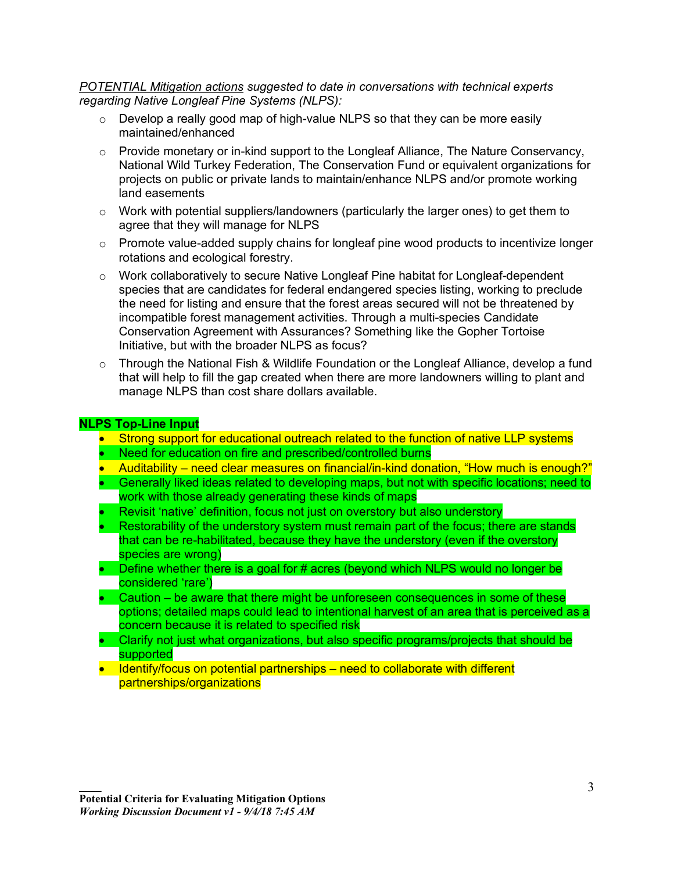*POTENTIAL Mitigation actions suggested to date in conversations with technical experts regarding Native Longleaf Pine Systems (NLPS):*

- $\circ$  Develop a really good map of high-value NLPS so that they can be more easily maintained/enhanced
- $\circ$  Provide monetary or in-kind support to the Longleaf Alliance, The Nature Conservancy, National Wild Turkey Federation, The Conservation Fund or equivalent organizations for projects on public or private lands to maintain/enhance NLPS and/or promote working land easements
- $\circ$  Work with potential suppliers/landowners (particularly the larger ones) to get them to agree that they will manage for NLPS
- $\circ$  Promote value-added supply chains for longleaf pine wood products to incentivize longer rotations and ecological forestry.
- $\circ$  Work collaboratively to secure Native Longleaf Pine habitat for Longleaf-dependent species that are candidates for federal endangered species listing, working to preclude the need for listing and ensure that the forest areas secured will not be threatened by incompatible forest management activities. Through a multi-species Candidate Conservation Agreement with Assurances? Something like the Gopher Tortoise Initiative, but with the broader NLPS as focus?
- $\circ$  Through the National Fish & Wildlife Foundation or the Longleaf Alliance, develop a fund that will help to fill the gap created when there are more landowners willing to plant and manage NLPS than cost share dollars available.

#### **NLPS Top-Line Input**

- Strong support for educational outreach related to the function of native LLP systems
- Need for education on fire and prescribed/controlled burns
- Auditability need clear measures on financial/in-kind donation, "How much is enough?"
- Generally liked ideas related to developing maps, but not with specific locations; need to work with those already generating these kinds of maps
- Revisit 'native' definition, focus not just on overstory but also understory
- Restorability of the understory system must remain part of the focus; there are stands that can be re-habilitated, because they have the understory (even if the overstory species are wrong)
- Define whether there is a goal for # acres (beyond which NLPS would no longer be considered 'rare')
- Caution be aware that there might be unforeseen consequences in some of these options; detailed maps could lead to intentional harvest of an area that is perceived as a concern because it is related to specified risk
- Clarify not just what organizations, but also specific programs/projects that should be supported
- Identify/focus on potential partnerships need to collaborate with different partnerships/organizations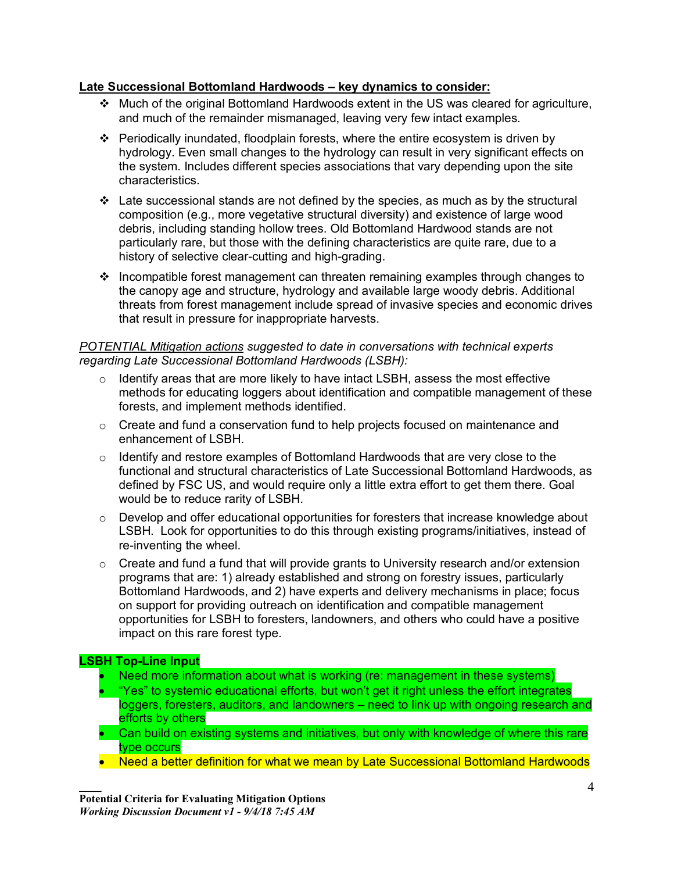# **Late Successional Bottomland Hardwoods – key dynamics to consider:**

- \* Much of the original Bottomland Hardwoods extent in the US was cleared for agriculture, and much of the remainder mismanaged, leaving very few intact examples.
- $\cdot \cdot$  Periodically inundated, floodplain forests, where the entire ecosystem is driven by hydrology. Even small changes to the hydrology can result in very significant effects on the system. Includes different species associations that vary depending upon the site characteristics.
- $\cdot$  Late successional stands are not defined by the species, as much as by the structural composition (e.g., more vegetative structural diversity) and existence of large wood debris, including standing hollow trees. Old Bottomland Hardwood stands are not particularly rare, but those with the defining characteristics are quite rare, due to a history of selective clear-cutting and high-grading.
- $\cdot$  Incompatible forest management can threaten remaining examples through changes to the canopy age and structure, hydrology and available large woody debris. Additional threats from forest management include spread of invasive species and economic drives that result in pressure for inappropriate harvests.

### *POTENTIAL Mitigation actions suggested to date in conversations with technical experts regarding Late Successional Bottomland Hardwoods (LSBH):*

- $\circ$  Identify areas that are more likely to have intact LSBH, assess the most effective methods for educating loggers about identification and compatible management of these forests, and implement methods identified.
- $\circ$  Create and fund a conservation fund to help projects focused on maintenance and enhancement of LSBH.
- $\circ$  Identify and restore examples of Bottomland Hardwoods that are very close to the functional and structural characteristics of Late Successional Bottomland Hardwoods, as defined by FSC US, and would require only a little extra effort to get them there. Goal would be to reduce rarity of LSBH.
- $\circ$  Develop and offer educational opportunities for foresters that increase knowledge about LSBH. Look for opportunities to do this through existing programs/initiatives, instead of re-inventing the wheel.
- $\circ$  Create and fund a fund that will provide grants to University research and/or extension programs that are: 1) already established and strong on forestry issues, particularly Bottomland Hardwoods, and 2) have experts and delivery mechanisms in place; focus on support for providing outreach on identification and compatible management opportunities for LSBH to foresters, landowners, and others who could have a positive impact on this rare forest type.

# **LSBH Top-Line Input**

- Need more information about what is working (re: management in these systems)
- "Yes" to systemic educational efforts, but won't get it right unless the effort integrates loggers, foresters, auditors, and landowners – need to link up with ongoing research and efforts by others
- Can build on existing systems and initiatives, but only with knowledge of where this rare type occurs
- Need a better definition for what we mean by Late Successional Bottomland Hardwoods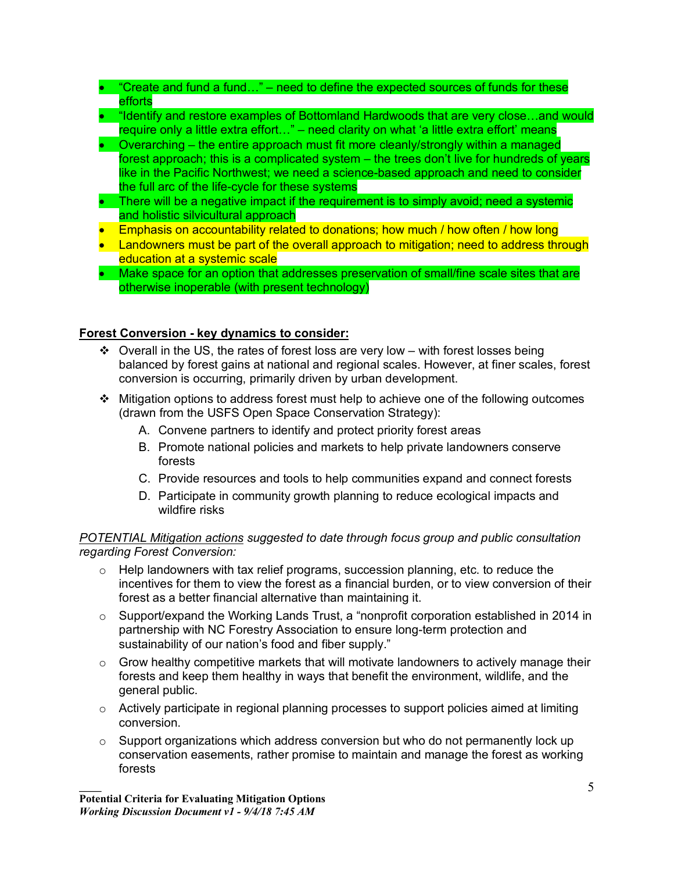## • "Create and fund a fund..." – need to define the expected sources of funds for these efforts

- "Identify and restore examples of Bottomland Hardwoods that are very close…and would require only a little extra effort…" – need clarity on what 'a little extra effort' means
- Overarching the entire approach must fit more cleanly/strongly within a managed forest approach; this is a complicated system – the trees don't live for hundreds of years like in the Pacific Northwest; we need a science-based approach and need to consider the full arc of the life-cycle for these systems
- There will be a negative impact if the requirement is to simply avoid; need a systemic and holistic silvicultural approach
- Emphasis on accountability related to donations; how much / how often / how long
- Landowners must be part of the overall approach to mitigation; need to address through education at a systemic scale
- Make space for an option that addresses preservation of small/fine scale sites that are otherwise inoperable (with present technology)

# **Forest Conversion - key dynamics to consider:**

- $\div$  Overall in the US, the rates of forest loss are very low with forest losses being balanced by forest gains at national and regional scales. However, at finer scales, forest conversion is occurring, primarily driven by urban development.
- v Mitigation options to address forest must help to achieve one of the following outcomes (drawn from the USFS Open Space Conservation Strategy):
	- A. Convene partners to identify and protect priority forest areas
	- B. Promote national policies and markets to help private landowners conserve forests
	- C. Provide resources and tools to help communities expand and connect forests
	- D. Participate in community growth planning to reduce ecological impacts and wildfire risks

## *POTENTIAL Mitigation actions suggested to date through focus group and public consultation regarding Forest Conversion:*

- $\circ$  Help landowners with tax relief programs, succession planning, etc. to reduce the incentives for them to view the forest as a financial burden, or to view conversion of their forest as a better financial alternative than maintaining it.
- $\circ$  Support/expand the Working Lands Trust, a "nonprofit corporation established in 2014 in partnership with NC Forestry Association to ensure long-term protection and sustainability of our nation's food and fiber supply."
- $\circ$  Grow healthy competitive markets that will motivate landowners to actively manage their forests and keep them healthy in ways that benefit the environment, wildlife, and the general public.
- o Actively participate in regional planning processes to support policies aimed at limiting conversion.
- $\circ$  Support organizations which address conversion but who do not permanently lock up conservation easements, rather promise to maintain and manage the forest as working forests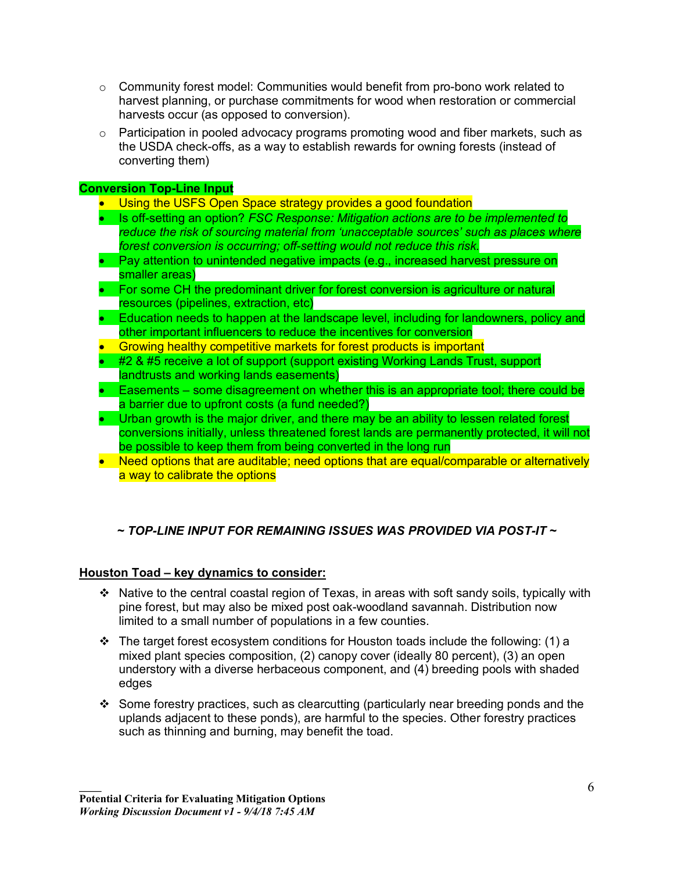- $\circ$  Community forest model: Communities would benefit from pro-bono work related to harvest planning, or purchase commitments for wood when restoration or commercial harvests occur (as opposed to conversion).
- $\circ$  Participation in pooled advocacy programs promoting wood and fiber markets, such as the USDA check-offs, as a way to establish rewards for owning forests (instead of converting them)

# **Conversion Top-Line Input**

- Using the USFS Open Space strategy provides a good foundation
- Is off-setting an option? *FSC Response: Mitigation actions are to be implemented to reduce the risk of sourcing material from 'unacceptable sources' such as places where forest conversion is occurring; off-setting would not reduce this risk.*
- Pay attention to unintended negative impacts (e.g., increased harvest pressure on smaller areas)
- For some CH the predominant driver for forest conversion is agriculture or natural resources (pipelines, extraction, etc)
- Education needs to happen at the landscape level, including for landowners, policy and other important influencers to reduce the incentives for conversion
- Growing healthy competitive markets for forest products is important
- #2 & #5 receive a lot of support (support existing Working Lands Trust, support landtrusts and working lands easements)
- Easements some disagreement on whether this is an appropriate tool; there could be a barrier due to upfront costs (a fund needed?)
- Urban growth is the major driver, and there may be an ability to lessen related forest conversions initially, unless threatened forest lands are permanently protected, it will not be possible to keep them from being converted in the long run
- Need options that are auditable; need options that are equal/comparable or alternatively a way to calibrate the options

# *~ TOP-LINE INPUT FOR REMAINING ISSUES WAS PROVIDED VIA POST-IT ~*

### **Houston Toad – key dynamics to consider:**

- \* Native to the central coastal region of Texas, in areas with soft sandy soils, typically with pine forest, but may also be mixed post oak-woodland savannah. Distribution now limited to a small number of populations in a few counties.
- $\cdot \cdot$  The target forest ecosystem conditions for Houston toads include the following: (1) a mixed plant species composition, (2) canopy cover (ideally 80 percent), (3) an open understory with a diverse herbaceous component, and (4) breeding pools with shaded edges
- v Some forestry practices, such as clearcutting (particularly near breeding ponds and the uplands adjacent to these ponds), are harmful to the species. Other forestry practices such as thinning and burning, may benefit the toad.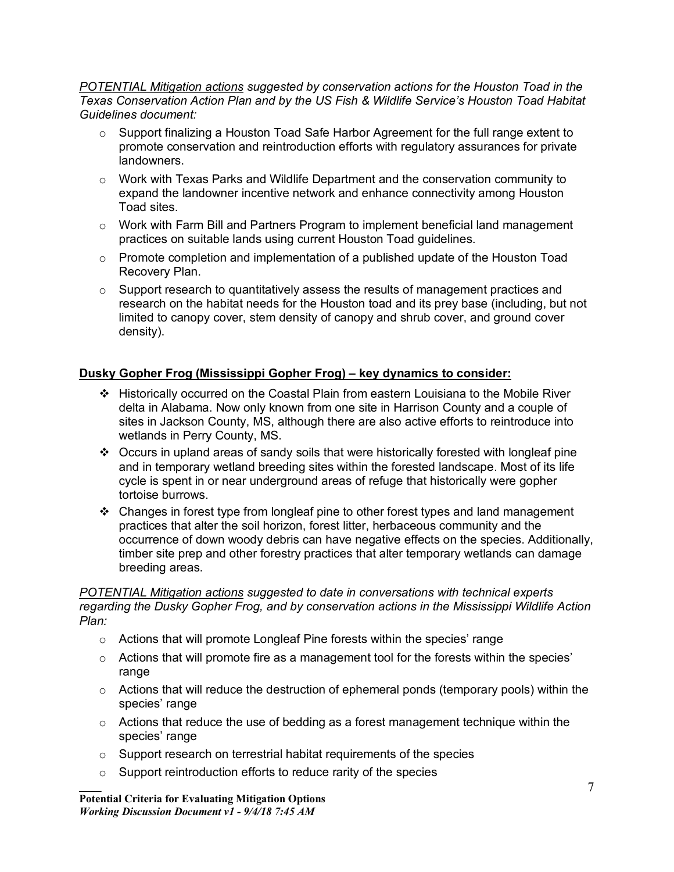*POTENTIAL Mitigation actions suggested by conservation actions for the Houston Toad in the Texas Conservation Action Plan and by the US Fish & Wildlife Service's Houston Toad Habitat Guidelines document:*

- $\circ$  Support finalizing a Houston Toad Safe Harbor Agreement for the full range extent to promote conservation and reintroduction efforts with regulatory assurances for private landowners.
- $\circ$  Work with Texas Parks and Wildlife Department and the conservation community to expand the landowner incentive network and enhance connectivity among Houston Toad sites.
- $\circ$  Work with Farm Bill and Partners Program to implement beneficial land management practices on suitable lands using current Houston Toad guidelines.
- $\circ$  Promote completion and implementation of a published update of the Houston Toad Recovery Plan.
- $\circ$  Support research to quantitatively assess the results of management practices and research on the habitat needs for the Houston toad and its prey base (including, but not limited to canopy cover, stem density of canopy and shrub cover, and ground cover density).

# **Dusky Gopher Frog (Mississippi Gopher Frog) – key dynamics to consider:**

- v Historically occurred on the Coastal Plain from eastern Louisiana to the Mobile River delta in Alabama. Now only known from one site in Harrison County and a couple of sites in Jackson County, MS, although there are also active efforts to reintroduce into wetlands in Perry County, MS.
- $\cdot \cdot$  Occurs in upland areas of sandy soils that were historically forested with longleaf pine and in temporary wetland breeding sites within the forested landscape. Most of its life cycle is spent in or near underground areas of refuge that historically were gopher tortoise burrows.
- $\cdot \cdot$  Changes in forest type from longleaf pine to other forest types and land management practices that alter the soil horizon, forest litter, herbaceous community and the occurrence of down woody debris can have negative effects on the species. Additionally, timber site prep and other forestry practices that alter temporary wetlands can damage breeding areas.

*POTENTIAL Mitigation actions suggested to date in conversations with technical experts regarding the Dusky Gopher Frog, and by conservation actions in the Mississippi Wildlife Action Plan:*

- $\circ$  Actions that will promote Longleaf Pine forests within the species' range
- $\circ$  Actions that will promote fire as a management tool for the forests within the species' range
- o Actions that will reduce the destruction of ephemeral ponds (temporary pools) within the species' range
- $\circ$  Actions that reduce the use of bedding as a forest management technique within the species' range
- o Support research on terrestrial habitat requirements of the species
- o Support reintroduction efforts to reduce rarity of the species

**Potential Criteria for Evaluating Mitigation Options** *Working Discussion Document v1 - 9/4/18 7:45 AM*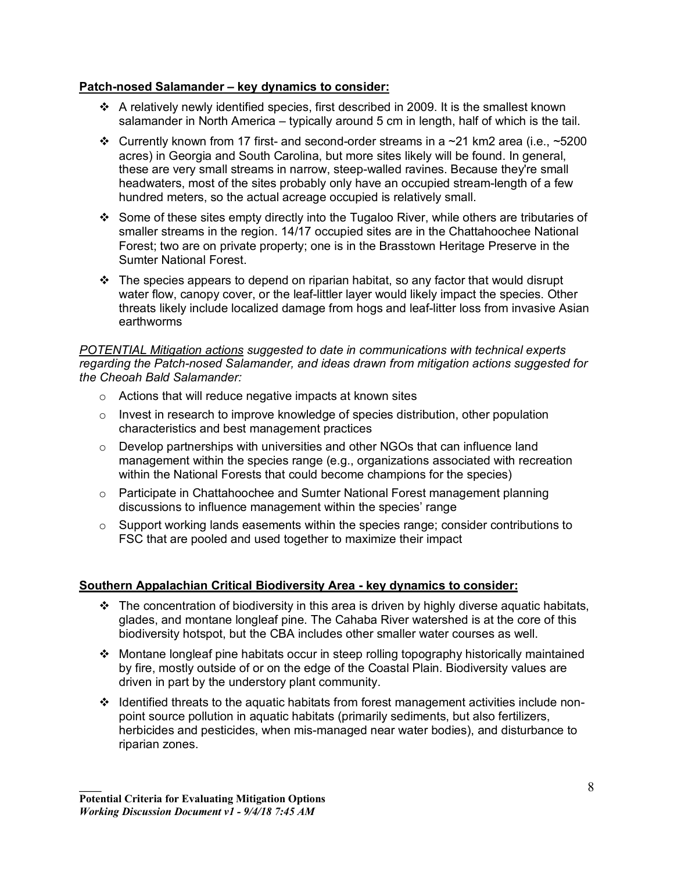### **Patch-nosed Salamander – key dynamics to consider:**

- $\div$  A relatively newly identified species, first described in 2009. It is the smallest known salamander in North America – typically around 5 cm in length, half of which is the tail.
- Currently known from 17 first- and second-order streams in a  $\sim$  21 km2 area (i.e.,  $\sim$  5200 acres) in Georgia and South Carolina, but more sites likely will be found. In general, these are very small streams in narrow, steep-walled ravines. Because they're small headwaters, most of the sites probably only have an occupied stream-length of a few hundred meters, so the actual acreage occupied is relatively small.
- v Some of these sites empty directly into the Tugaloo River, while others are tributaries of smaller streams in the region. 14/17 occupied sites are in the Chattahoochee National Forest; two are on private property; one is in the Brasstown Heritage Preserve in the Sumter National Forest.
- $\cdot \cdot$  The species appears to depend on riparian habitat, so any factor that would disrupt water flow, canopy cover, or the leaf-littler layer would likely impact the species. Other threats likely include localized damage from hogs and leaf-litter loss from invasive Asian earthworms

*POTENTIAL Mitigation actions suggested to date in communications with technical experts regarding the Patch-nosed Salamander, and ideas drawn from mitigation actions suggested for the Cheoah Bald Salamander:*

- o Actions that will reduce negative impacts at known sites
- $\circ$  Invest in research to improve knowledge of species distribution, other population characteristics and best management practices
- $\circ$  Develop partnerships with universities and other NGOs that can influence land management within the species range (e.g., organizations associated with recreation within the National Forests that could become champions for the species)
- $\circ$  Participate in Chattahoochee and Sumter National Forest management planning discussions to influence management within the species' range
- $\circ$  Support working lands easements within the species range; consider contributions to FSC that are pooled and used together to maximize their impact

# **Southern Appalachian Critical Biodiversity Area - key dynamics to consider:**

- $\cdot \cdot$  The concentration of biodiversity in this area is driven by highly diverse aquatic habitats, glades, and montane longleaf pine. The Cahaba River watershed is at the core of this biodiversity hotspot, but the CBA includes other smaller water courses as well.
- v Montane longleaf pine habitats occur in steep rolling topography historically maintained by fire, mostly outside of or on the edge of the Coastal Plain. Biodiversity values are driven in part by the understory plant community.
- $\div$  Identified threats to the aquatic habitats from forest management activities include nonpoint source pollution in aquatic habitats (primarily sediments, but also fertilizers, herbicides and pesticides, when mis-managed near water bodies), and disturbance to riparian zones.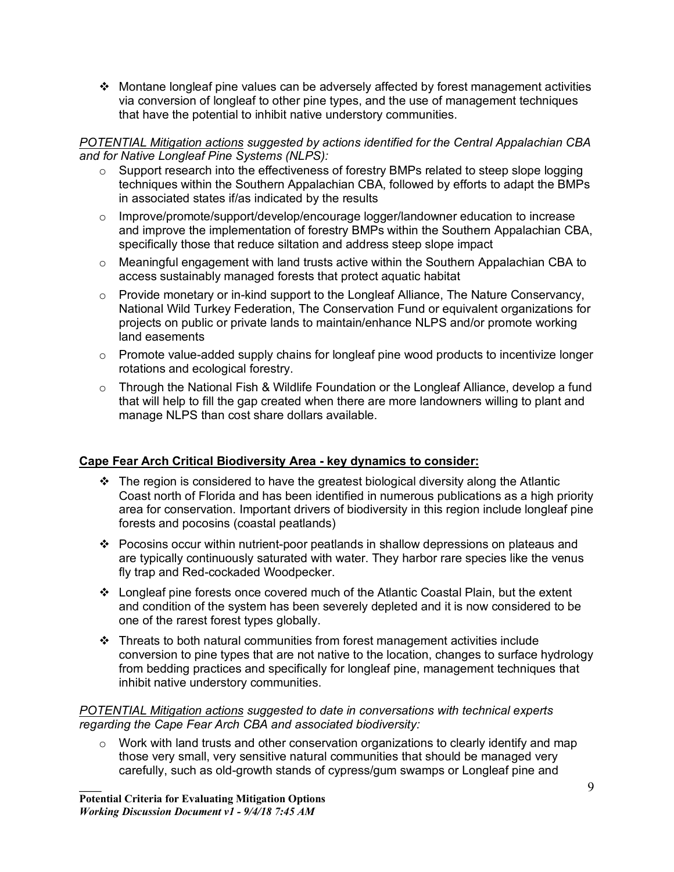$\cdot$  Montane longleaf pine values can be adversely affected by forest management activities via conversion of longleaf to other pine types, and the use of management techniques that have the potential to inhibit native understory communities.

### *POTENTIAL Mitigation actions suggested by actions identified for the Central Appalachian CBA and for Native Longleaf Pine Systems (NLPS):*

- o Support research into the effectiveness of forestry BMPs related to steep slope logging techniques within the Southern Appalachian CBA, followed by efforts to adapt the BMPs in associated states if/as indicated by the results
- o Improve/promote/support/develop/encourage logger/landowner education to increase and improve the implementation of forestry BMPs within the Southern Appalachian CBA, specifically those that reduce siltation and address steep slope impact
- $\circ$  Meaningful engagement with land trusts active within the Southern Appalachian CBA to access sustainably managed forests that protect aquatic habitat
- $\circ$  Provide monetary or in-kind support to the Longleaf Alliance, The Nature Conservancy, National Wild Turkey Federation, The Conservation Fund or equivalent organizations for projects on public or private lands to maintain/enhance NLPS and/or promote working land easements
- $\circ$  Promote value-added supply chains for longleaf pine wood products to incentivize longer rotations and ecological forestry.
- o Through the National Fish & Wildlife Foundation or the Longleaf Alliance, develop a fund that will help to fill the gap created when there are more landowners willing to plant and manage NLPS than cost share dollars available.

# **Cape Fear Arch Critical Biodiversity Area - key dynamics to consider:**

- $\div$  The region is considered to have the greatest biological diversity along the Atlantic Coast north of Florida and has been identified in numerous publications as a high priority area for conservation. Important drivers of biodiversity in this region include longleaf pine forests and pocosins (coastal peatlands)
- \* Pocosins occur within nutrient-poor peatlands in shallow depressions on plateaus and are typically continuously saturated with water. They harbor rare species like the venus fly trap and Red-cockaded Woodpecker.
- $\div$  Longleaf pine forests once covered much of the Atlantic Coastal Plain, but the extent and condition of the system has been severely depleted and it is now considered to be one of the rarest forest types globally.
- $\div$  Threats to both natural communities from forest management activities include conversion to pine types that are not native to the location, changes to surface hydrology from bedding practices and specifically for longleaf pine, management techniques that inhibit native understory communities.

### *POTENTIAL Mitigation actions suggested to date in conversations with technical experts regarding the Cape Fear Arch CBA and associated biodiversity:*

 $\circ$  Work with land trusts and other conservation organizations to clearly identify and map those very small, very sensitive natural communities that should be managed very carefully, such as old-growth stands of cypress/gum swamps or Longleaf pine and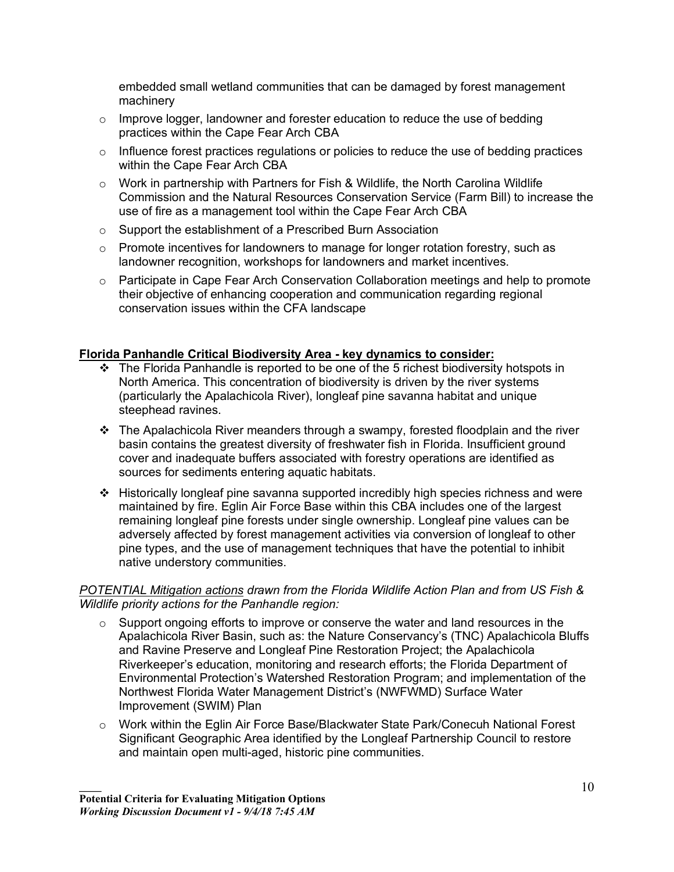embedded small wetland communities that can be damaged by forest management machinery

- $\circ$  Improve logger, landowner and forester education to reduce the use of bedding practices within the Cape Fear Arch CBA
- $\circ$  Influence forest practices regulations or policies to reduce the use of bedding practices within the Cape Fear Arch CBA
- $\circ$  Work in partnership with Partners for Fish & Wildlife, the North Carolina Wildlife Commission and the Natural Resources Conservation Service (Farm Bill) to increase the use of fire as a management tool within the Cape Fear Arch CBA
- o Support the establishment of a Prescribed Burn Association
- o Promote incentives for landowners to manage for longer rotation forestry, such as landowner recognition, workshops for landowners and market incentives.
- o Participate in Cape Fear Arch Conservation Collaboration meetings and help to promote their objective of enhancing cooperation and communication regarding regional conservation issues within the CFA landscape

# **Florida Panhandle Critical Biodiversity Area - key dynamics to consider:**

- $\div$  The Florida Panhandle is reported to be one of the 5 richest biodiversity hotspots in North America. This concentration of biodiversity is driven by the river systems (particularly the Apalachicola River), longleaf pine savanna habitat and unique steephead ravines.
- $\cdot \cdot$  The Apalachicola River meanders through a swampy, forested floodplain and the river basin contains the greatest diversity of freshwater fish in Florida. Insufficient ground cover and inadequate buffers associated with forestry operations are identified as sources for sediments entering aquatic habitats.
- $\div$  Historically longleaf pine savanna supported incredibly high species richness and were maintained by fire. Eglin Air Force Base within this CBA includes one of the largest remaining longleaf pine forests under single ownership. Longleaf pine values can be adversely affected by forest management activities via conversion of longleaf to other pine types, and the use of management techniques that have the potential to inhibit native understory communities.

### *POTENTIAL Mitigation actions drawn from the Florida Wildlife Action Plan and from US Fish & Wildlife priority actions for the Panhandle region:*

- $\circ$  Support ongoing efforts to improve or conserve the water and land resources in the Apalachicola River Basin, such as: the Nature Conservancy's (TNC) Apalachicola Bluffs and Ravine Preserve and Longleaf Pine Restoration Project; the Apalachicola Riverkeeper's education, monitoring and research efforts; the Florida Department of Environmental Protection's Watershed Restoration Program; and implementation of the Northwest Florida Water Management District's (NWFWMD) Surface Water Improvement (SWIM) Plan
- o Work within the Eglin Air Force Base/Blackwater State Park/Conecuh National Forest Significant Geographic Area identified by the Longleaf Partnership Council to restore and maintain open multi-aged, historic pine communities.